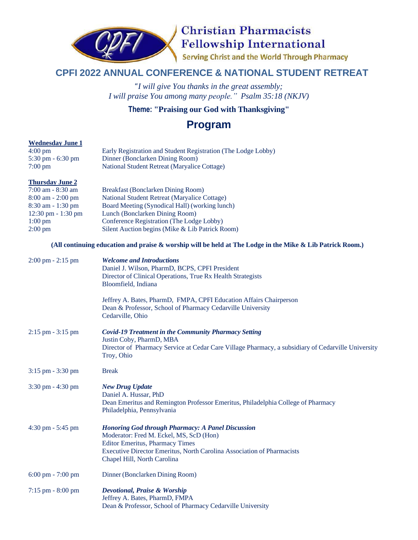

# **Christian Pharmacists Fellowship International**

Serving Christ and the World Through Pharmacy

### **CPFI 2022 ANNUAL CONFERENCE & NATIONAL STUDENT RETREAT**

"*I will give You thanks in the great assembly; I will praise You among many people." Psalm 35:18 (NKJV)*

### **Theme: "Praising our God with Thanksgiving"**

## **Program**

### **Wednesday June 1**

| $4:00 \text{ pm}$                   | Early Registration and Student Registration (The Lodge Lobby) |
|-------------------------------------|---------------------------------------------------------------|
| $5:30 \text{ pm} - 6:30 \text{ pm}$ | Dinner (Bonclarken Dining Room)                               |
| $7:00 \text{ pm}$                   | National Student Retreat (Maryalice Cottage)                  |
|                                     |                                                               |

#### **Thursday June 2**

| <b>Breakfast (Bonclarken Dining Room)</b>       |
|-------------------------------------------------|
| National Student Retreat (Maryalice Cottage)    |
| Board Meeting (Synodical Hall) (working lunch)  |
|                                                 |
| Conference Registration (The Lodge Lobby)       |
| Silent Auction begins (Mike & Lib Patrick Room) |
|                                                 |

#### (All continuing education and praise & worship will be held at The Lodge in the Mike & Lib Patrick Room.)

| $2:00 \text{ pm} - 2:15 \text{ pm}$ | <b>Welcome and Introductions</b><br>Daniel J. Wilson, PharmD, BCPS, CPFI President<br>Director of Clinical Operations, True Rx Health Strategists<br>Bloomfield, Indiana                                                                               |
|-------------------------------------|--------------------------------------------------------------------------------------------------------------------------------------------------------------------------------------------------------------------------------------------------------|
|                                     | Jeffrey A. Bates, PharmD, FMPA, CPFI Education Affairs Chairperson<br>Dean & Professor, School of Pharmacy Cedarville University<br>Cedarville, Ohio                                                                                                   |
| $2:15$ pm $-3:15$ pm                | <b>Covid-19 Treatment in the Community Pharmacy Setting</b><br>Justin Coby, PharmD, MBA<br>Director of Pharmacy Service at Cedar Care Village Pharmacy, a subsidiary of Cedarville University<br>Troy, Ohio                                            |
| 3:15 pm - 3:30 pm                   | <b>Break</b>                                                                                                                                                                                                                                           |
| $3:30 \text{ pm} - 4:30 \text{ pm}$ | <b>New Drug Update</b><br>Daniel A. Hussar, PhD<br>Dean Emeritus and Remington Professor Emeritus, Philadelphia College of Pharmacy<br>Philadelphia, Pennsylvania                                                                                      |
| $4:30 \text{ pm} - 5:45 \text{ pm}$ | <b>Honoring God through Pharmacy: A Panel Discussion</b><br>Moderator: Fred M. Eckel, MS, ScD (Hon)<br><b>Editor Emeritus, Pharmacy Times</b><br>Executive Director Emeritus, North Carolina Association of Pharmacists<br>Chapel Hill, North Carolina |
| $6:00 \text{ pm} - 7:00 \text{ pm}$ | Dinner (Bonclarken Dining Room)                                                                                                                                                                                                                        |
| $7:15$ pm $-8:00$ pm                | <b>Devotional, Praise &amp; Worship</b><br>Jeffrey A. Bates, PharmD, FMPA<br>Dean & Professor, School of Pharmacy Cedarville University                                                                                                                |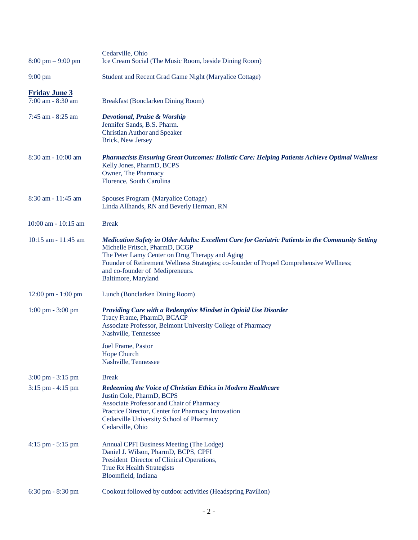| $8:00 \text{ pm} - 9:00 \text{ pm}$                         | Cedarville, Ohio<br>Ice Cream Social (The Music Room, beside Dining Room)                                                                                                                                                                                                                                                                   |
|-------------------------------------------------------------|---------------------------------------------------------------------------------------------------------------------------------------------------------------------------------------------------------------------------------------------------------------------------------------------------------------------------------------------|
| $9:00 \text{ pm}$                                           | Student and Recent Grad Game Night (Maryalice Cottage)                                                                                                                                                                                                                                                                                      |
| <b>Friday June 3</b><br>$7:00$ am $-8:30$ am                | Breakfast (Bonclarken Dining Room)                                                                                                                                                                                                                                                                                                          |
| 7:45 am - 8:25 am                                           | <b>Devotional, Praise &amp; Worship</b><br>Jennifer Sands, B.S. Pharm.<br><b>Christian Author and Speaker</b><br>Brick, New Jersey                                                                                                                                                                                                          |
| 8:30 am - 10:00 am                                          | <b>Pharmacists Ensuring Great Outcomes: Holistic Care: Helping Patients Achieve Optimal Wellness</b><br>Kelly Jones, PharmD, BCPS<br>Owner, The Pharmacy<br>Florence, South Carolina                                                                                                                                                        |
| 8:30 am - 11:45 am                                          | Spouses Program (Maryalice Cottage)<br>Linda Allhands, RN and Beverly Herman, RN                                                                                                                                                                                                                                                            |
| 10:00 am - 10:15 am                                         | <b>Break</b>                                                                                                                                                                                                                                                                                                                                |
| 10:15 am - 11:45 am                                         | Medication Safety in Older Adults: Excellent Care for Geriatric Patients in the Community Setting<br>Michelle Fritsch, PharmD, BCGP<br>The Peter Lamy Center on Drug Therapy and Aging<br>Founder of Retirement Wellness Strategies; co-founder of Propel Comprehensive Wellness;<br>and co-founder of Medipreneurs.<br>Baltimore, Maryland |
| 12:00 pm - 1:00 pm                                          | Lunch (Bonclarken Dining Room)                                                                                                                                                                                                                                                                                                              |
| $1:00 \text{ pm} - 3:00 \text{ pm}$                         | Providing Care with a Redemptive Mindset in Opioid Use Disorder<br>Tracy Frame, PharmD, BCACP<br>Associate Professor, Belmont University College of Pharmacy<br>Nashville, Tennessee                                                                                                                                                        |
|                                                             | Joel Frame, Pastor<br>Hope Church<br>Nashville, Tennessee                                                                                                                                                                                                                                                                                   |
| $3:00 \text{ pm} - 3:15 \text{ pm}$<br>$3:15$ pm $-4:15$ pm | <b>Break</b><br><b>Redeeming the Voice of Christian Ethics in Modern Healthcare</b><br>Justin Cole, PharmD, BCPS<br>Associate Professor and Chair of Pharmacy<br>Practice Director, Center for Pharmacy Innovation<br>Cedarville University School of Pharmacy<br>Cedarville, Ohio                                                          |
| $4:15$ pm $-5:15$ pm                                        | Annual CPFI Business Meeting (The Lodge)<br>Daniel J. Wilson, PharmD, BCPS, CPFI<br>President Director of Clinical Operations,<br>True Rx Health Strategists<br>Bloomfield, Indiana                                                                                                                                                         |
| 6:30 pm - 8:30 pm                                           | Cookout followed by outdoor activities (Headspring Pavilion)                                                                                                                                                                                                                                                                                |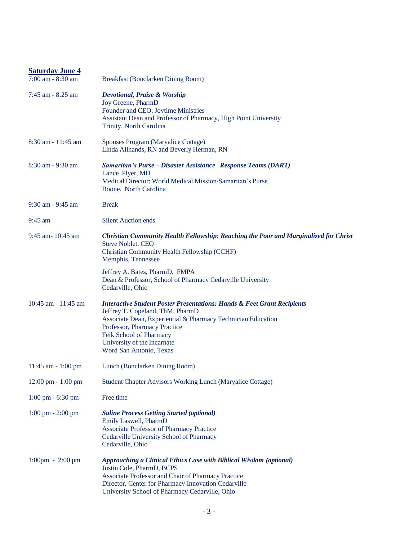| <b>Saturday June 4</b>               |                                                                                                                                                                                                                                                                                                             |
|--------------------------------------|-------------------------------------------------------------------------------------------------------------------------------------------------------------------------------------------------------------------------------------------------------------------------------------------------------------|
| 7:00 am - 8:30 am                    | Breakfast (Bonclarken Dining Room)                                                                                                                                                                                                                                                                          |
| 7:45 am - 8:25 am                    | <b>Devotional, Praise &amp; Worship</b><br>Joy Greene, PharmD<br>Founder and CEO, Joytime Ministries<br>Assistant Dean and Professor of Pharmacy, High Point University<br>Trinity, North Carolina                                                                                                          |
| 8:30 am - 11:45 am                   | Spouses Program (Maryalice Cottage)<br>Linda Allhands, RN and Beverly Herman, RN                                                                                                                                                                                                                            |
| 8:30 am - 9:30 am                    | Samaritan's Purse - Disaster Assistance Response Teams (DART)<br>Lance Plyer, MD<br>Medical Director; World Medical Mission/Samaritan's Purse<br>Boone, North Carolina                                                                                                                                      |
| 9:30 am - 9:45 am                    | <b>Break</b>                                                                                                                                                                                                                                                                                                |
| $9:45$ am                            | <b>Silent Auction ends</b>                                                                                                                                                                                                                                                                                  |
| 9:45 am- 10:45 am                    | <b>Christian Community Health Fellowship: Reaching the Poor and Marginalized for Christ</b><br><b>Steve Noblet, CEO</b><br>Christian Community Health Fellowship (CCHF)<br>Memphis, Tennessee                                                                                                               |
|                                      | Jeffrey A. Bates, PharmD, FMPA<br>Dean & Professor, School of Pharmacy Cedarville University<br>Cedarville, Ohio                                                                                                                                                                                            |
| $10:45$ am - $11:45$ am              | <b>Interactive Student Poster Presentations: Hands &amp; Feet Grant Recipients</b><br>Jeffrey T. Copeland, ThM, PharmD<br>Associate Dean, Experiential & Pharmacy Technician Education<br>Professor, Pharmacy Practice<br>Feik School of Pharmacy<br>University of the Incarnate<br>Word San Antonio, Texas |
| 11:45 am - 1:00 pm                   | Lunch (Bonclarken Dining Room)                                                                                                                                                                                                                                                                              |
| $12:00 \text{ pm} - 1:00 \text{ pm}$ | Student Chapter Advisors Working Lunch (Maryalice Cottage)                                                                                                                                                                                                                                                  |
| $1:00 \text{ pm} - 6:30 \text{ pm}$  | Free time                                                                                                                                                                                                                                                                                                   |
| $1:00 \text{ pm} - 2:00 \text{ pm}$  | <b>Saline Process Getting Started (optional)</b><br>Emily Laswell, PharmD<br>Associate Professor of Pharmacy Practice<br>Cedarville University School of Pharmacy<br>Cedarville, Ohio                                                                                                                       |
| $1:00 \text{pm} - 2:00 \text{pm}$    | <b>Approaching a Clinical Ethics Case with Biblical Wisdom (optional)</b><br>Justin Cole, PharmD, BCPS<br>Associate Professor and Chair of Pharmacy Practice<br>Director, Center for Pharmacy Innovation Cedarville<br>University School of Pharmacy Cedarville, Ohio                                       |